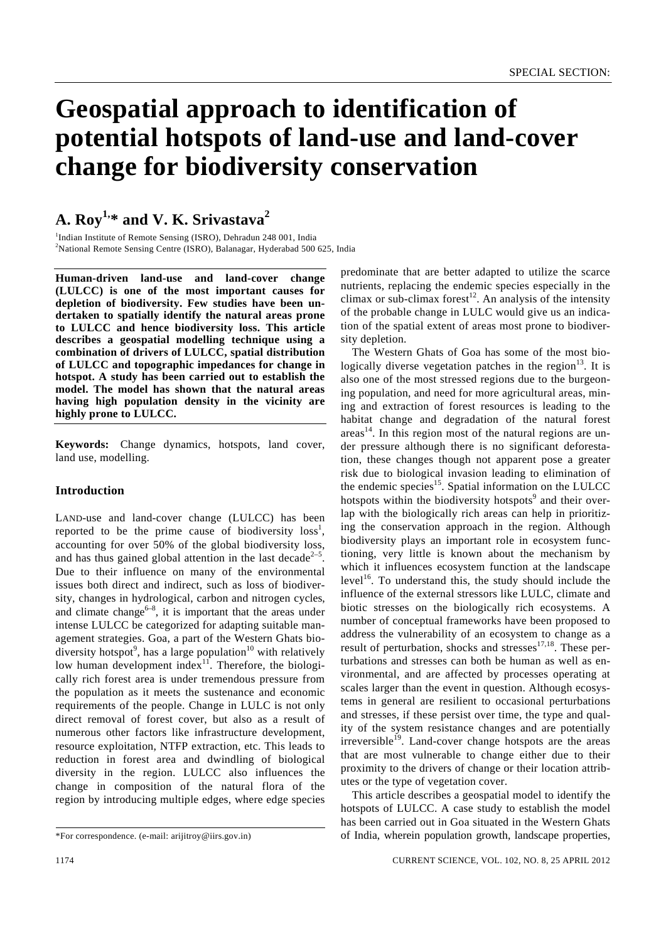# **Geospatial approach to identification of potential hotspots of land-use and land-cover change for biodiversity conservation**

# **A. Roy1,\* and V. K. Srivastava2**

<sup>1</sup>Indian Institute of Remote Sensing (ISRO), Dehradun 248 001, India <sup>2</sup>National Remote Sensing Centre (ISRO), Balanagar, Hyderabad 500 625, India

**Human-driven land-use and land-cover change (LULCC) is one of the most important causes for depletion of biodiversity. Few studies have been undertaken to spatially identify the natural areas prone to LULCC and hence biodiversity loss. This article describes a geospatial modelling technique using a combination of drivers of LULCC, spatial distribution of LULCC and topographic impedances for change in hotspot. A study has been carried out to establish the model. The model has shown that the natural areas having high population density in the vicinity are highly prone to LULCC.** 

**Keywords:** Change dynamics, hotspots, land cover, land use, modelling.

# **Introduction**

LAND-use and land-cover change (LULCC) has been reported to be the prime cause of biodiversity  $loss<sup>1</sup>$ , accounting for over 50% of the global biodiversity loss, and has thus gained global attention in the last decade<sup> $2-5$ </sup>. Due to their influence on many of the environmental issues both direct and indirect, such as loss of biodiversity, changes in hydrological, carbon and nitrogen cycles, and climate change<sup> $6-8$ </sup>, it is important that the areas under intense LULCC be categorized for adapting suitable management strategies. Goa, a part of the Western Ghats biodiversity hotspot<sup>9</sup>, has a large population<sup>10</sup> with relatively low human development index $11$ . Therefore, the biologically rich forest area is under tremendous pressure from the population as it meets the sustenance and economic requirements of the people. Change in LULC is not only direct removal of forest cover, but also as a result of numerous other factors like infrastructure development, resource exploitation, NTFP extraction, etc. This leads to reduction in forest area and dwindling of biological diversity in the region. LULCC also influences the change in composition of the natural flora of the region by introducing multiple edges, where edge species

predominate that are better adapted to utilize the scarce nutrients, replacing the endemic species especially in the climax or sub-climax forest<sup>12</sup>. An analysis of the intensity of the probable change in LULC would give us an indication of the spatial extent of areas most prone to biodiversity depletion.

 The Western Ghats of Goa has some of the most biologically diverse vegetation patches in the region $13$ . It is also one of the most stressed regions due to the burgeoning population, and need for more agricultural areas, mining and extraction of forest resources is leading to the habitat change and degradation of the natural forest  $\arccos^{14}$ . In this region most of the natural regions are under pressure although there is no significant deforestation, these changes though not apparent pose a greater risk due to biological invasion leading to elimination of the endemic species $15$ . Spatial information on the LULCC hotspots within the biodiversity hotspots<sup>9</sup> and their overlap with the biologically rich areas can help in prioritizing the conservation approach in the region. Although biodiversity plays an important role in ecosystem functioning, very little is known about the mechanism by which it influences ecosystem function at the landscape  $level<sup>16</sup>$ . To understand this, the study should include the influence of the external stressors like LULC, climate and biotic stresses on the biologically rich ecosystems. A number of conceptual frameworks have been proposed to address the vulnerability of an ecosystem to change as a result of perturbation, shocks and stresses $17,18$ . These perturbations and stresses can both be human as well as environmental, and are affected by processes operating at scales larger than the event in question. Although ecosystems in general are resilient to occasional perturbations and stresses, if these persist over time, the type and quality of the system resistance changes and are potentially  $irreversible<sup>19</sup>$ . Land-cover change hotspots are the areas that are most vulnerable to change either due to their proximity to the drivers of change or their location attributes or the type of vegetation cover.

 This article describes a geospatial model to identify the hotspots of LULCC. A case study to establish the model has been carried out in Goa situated in the Western Ghats of India, wherein population growth, landscape properties,

<sup>\*</sup>For correspondence. (e-mail: arijitroy@iirs.gov.in)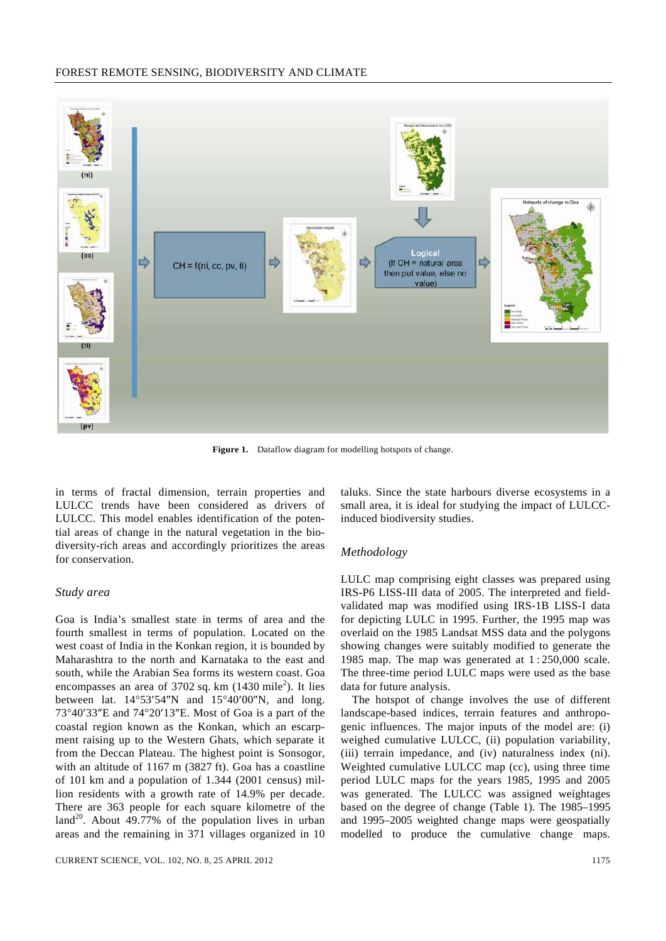## FOREST REMOTE SENSING, BIODIVERSITY AND CLIMATE



**Figure 1.** Dataflow diagram for modelling hotspots of change.

in terms of fractal dimension, terrain properties and LULCC trends have been considered as drivers of LULCC. This model enables identification of the potential areas of change in the natural vegetation in the biodiversity-rich areas and accordingly prioritizes the areas for conservation.

# *Study area*

Goa is India's smallest state in terms of area and the fourth smallest in terms of population. Located on the west coast of India in the Konkan region, it is bounded by Maharashtra to the north and Karnataka to the east and south, while the Arabian Sea forms its western coast. Goa encompasses an area of  $3702$  sq. km  $(1430 \text{ mile}^2)$ . It lies between lat. 14°53′54″N and 15°40′00″N, and long. 73°40′33″E and 74°20′13″E. Most of Goa is a part of the coastal region known as the Konkan, which an escarpment raising up to the Western Ghats, which separate it from the Deccan Plateau. The highest point is Sonsogor, with an altitude of 1167 m (3827 ft). Goa has a coastline of 101 km and a population of 1.344 (2001 census) million residents with a growth rate of 14.9% per decade. There are 363 people for each square kilometre of the land<sup>20</sup>. About 49.77% of the population lives in urban areas and the remaining in 371 villages organized in 10

taluks. Since the state harbours diverse ecosystems in a small area, it is ideal for studying the impact of LULCCinduced biodiversity studies.

### *Methodology*

LULC map comprising eight classes was prepared using IRS-P6 LISS-III data of 2005. The interpreted and fieldvalidated map was modified using IRS-1B LISS-I data for depicting LULC in 1995. Further, the 1995 map was overlaid on the 1985 Landsat MSS data and the polygons showing changes were suitably modified to generate the 1985 map. The map was generated at 1 : 250,000 scale. The three-time period LULC maps were used as the base data for future analysis.

 The hotspot of change involves the use of different landscape-based indices, terrain features and anthropogenic influences. The major inputs of the model are: (i) weighed cumulative LULCC, (ii) population variability, (iii) terrain impedance, and (iv) naturalness index (ni). Weighted cumulative LULCC map (cc), using three time period LULC maps for the years 1985, 1995 and 2005 was generated. The LULCC was assigned weightages based on the degree of change (Table 1). The 1985–1995 and 1995–2005 weighted change maps were geospatially modelled to produce the cumulative change maps.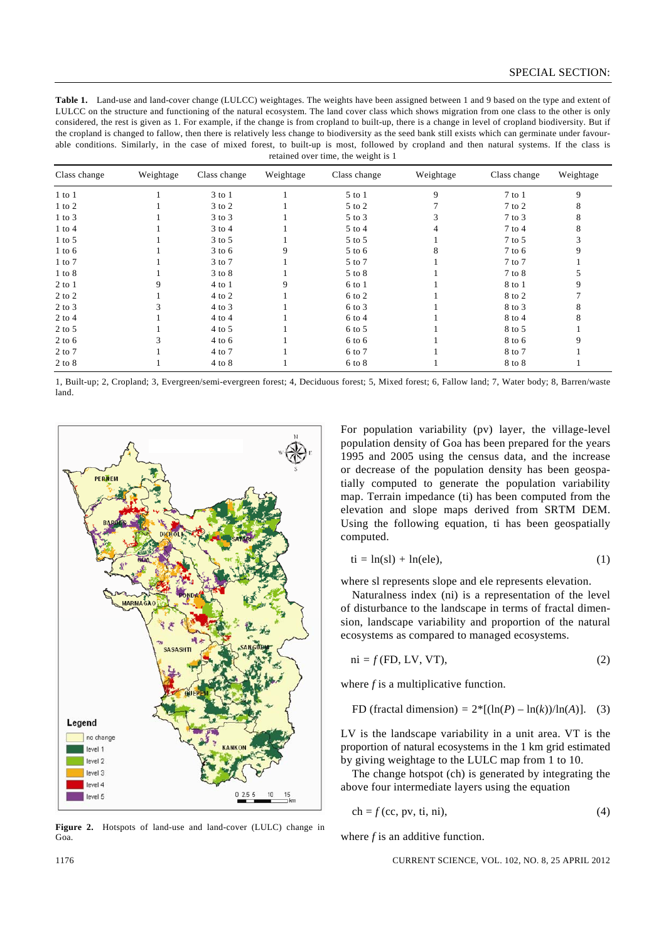**Table 1.** Land-use and land-cover change (LULCC) weightages. The weights have been assigned between 1 and 9 based on the type and extent of LULCC on the structure and functioning of the natural ecosystem. The land cover class which shows migration from one class to the other is only considered, the rest is given as 1. For example, if the change is from cropland to built-up, there is a change in level of cropland biodiversity. But if the cropland is changed to fallow, then there is relatively less change to biodiversity as the seed bank still exists which can germinate under favourable conditions. Similarly, in the case of mixed forest, to built-up is most, followed by cropland and then natural systems. If the class is retained over time, the weight is 1

| Class change | Weightage | Class change | Weightage | Class change | Weightage | Class change | Weightage |
|--------------|-----------|--------------|-----------|--------------|-----------|--------------|-----------|
| $1$ to $1$   |           | 3 to 1       |           | 5 to 1       | 9         | $7$ to $1$   | 9         |
| $1$ to $2$   |           | $3$ to $2$   |           | 5 to 2       |           | $7$ to $2$   | 8         |
| $1$ to $3$   |           | $3$ to $3$   |           | $5$ to $3$   |           | $7$ to $3$   | 8         |
| $1$ to $4$   |           | $3$ to $4$   |           | $5$ to $4$   | 4         | 7 to 4       | 8         |
| $1$ to $5$   |           | $3$ to $5$   |           | 5 to 5       |           | $7$ to $5$   |           |
| $1$ to $6$   |           | $3$ to 6     | 9         | 5 to 6       | 8         | 7 to 6       | 9         |
| $1$ to $7$   |           | 3 to 7       |           | 5 to 7       |           | 7 to 7       |           |
| $1$ to $8$   |           | 3 to 8       |           | 5 to 8       |           | 7 to 8       |           |
| $2$ to $1$   | 9         | $4$ to $1$   | 9         | 6 to 1       |           | 8 to 1       | 9         |
| $2$ to $2$   |           | 4 to 2       |           | 6 to 2       |           | 8 to 2       |           |
| $2$ to $3$   |           | $4$ to $3$   |           | 6 to 3       |           | 8 to 3       | 8         |
| $2$ to $4$   |           | $4$ to $4$   |           | $6$ to $4$   |           | 8 to 4       | 8         |
| $2$ to 5     |           | $4$ to 5     |           | $6$ to $5$   |           | 8 to 5       |           |
| $2$ to 6     |           | $4$ to 6     |           | $6$ to $6$   |           | 8 to 6       | 9         |
| $2$ to $7$   |           | 4 to 7       |           | 6 to 7       |           | 8 to 7       |           |
| $2$ to $8$   |           | 4 to 8       |           | $6$ to $8$   |           | 8 to 8       |           |

1, Built-up; 2, Cropland; 3, Evergreen/semi-evergreen forest; 4, Deciduous forest; 5, Mixed forest; 6, Fallow land; 7, Water body; 8, Barren/waste land.



**Figure 2.** Hotspots of land-use and land-cover (LULC) change in Goa.

For population variability (pv) layer, the village-level population density of Goa has been prepared for the years 1995 and 2005 using the census data, and the increase or decrease of the population density has been geospatially computed to generate the population variability map. Terrain impedance (ti) has been computed from the elevation and slope maps derived from SRTM DEM. Using the following equation, ti has been geospatially computed.

$$
ti = ln(sl) + ln(ele), \qquad (1)
$$

where sl represents slope and ele represents elevation.

 Naturalness index (ni) is a representation of the level of disturbance to the landscape in terms of fractal dimension, landscape variability and proportion of the natural ecosystems as compared to managed ecosystems.

$$
ni = f(FD, LV, VT),
$$
\n(2)

where *f* is a multiplicative function.

FD (fractal dimension) = 
$$
2^*[(\ln(P) - \ln(k))/\ln(A)]
$$
. (3)

LV is the landscape variability in a unit area. VT is the proportion of natural ecosystems in the 1 km grid estimated by giving weightage to the LULC map from 1 to 10.

 The change hotspot (ch) is generated by integrating the above four intermediate layers using the equation

$$
ch = f(cc, pv, ti, ni),
$$
\n(4)

where *f* is an additive function.

1176 CURRENT SCIENCE, VOL. 102, NO. 8, 25 APRIL 2012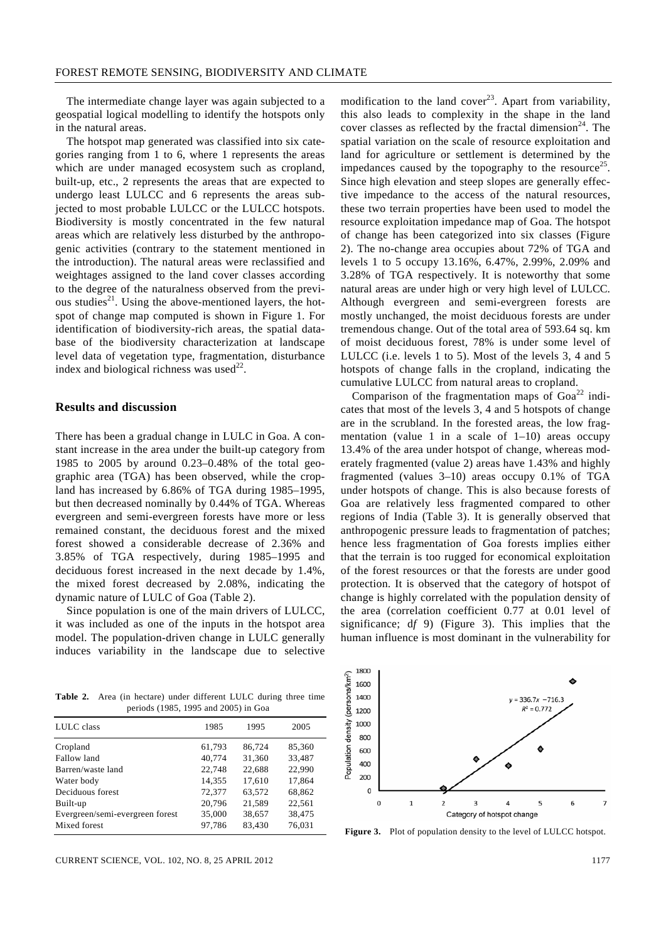The intermediate change layer was again subjected to a geospatial logical modelling to identify the hotspots only in the natural areas.

 The hotspot map generated was classified into six categories ranging from 1 to 6, where 1 represents the areas which are under managed ecosystem such as cropland, built-up, etc., 2 represents the areas that are expected to undergo least LULCC and 6 represents the areas subjected to most probable LULCC or the LULCC hotspots. Biodiversity is mostly concentrated in the few natural areas which are relatively less disturbed by the anthropogenic activities (contrary to the statement mentioned in the introduction). The natural areas were reclassified and weightages assigned to the land cover classes according to the degree of the naturalness observed from the previous studies<sup>21</sup>. Using the above-mentioned layers, the hotspot of change map computed is shown in Figure 1. For identification of biodiversity-rich areas, the spatial database of the biodiversity characterization at landscape level data of vegetation type, fragmentation, disturbance index and biological richness was used $^{22}$ .

#### **Results and discussion**

There has been a gradual change in LULC in Goa. A constant increase in the area under the built-up category from 1985 to 2005 by around 0.23–0.48% of the total geographic area (TGA) has been observed, while the cropland has increased by 6.86% of TGA during 1985–1995, but then decreased nominally by 0.44% of TGA. Whereas evergreen and semi-evergreen forests have more or less remained constant, the deciduous forest and the mixed forest showed a considerable decrease of 2.36% and 3.85% of TGA respectively, during 1985–1995 and deciduous forest increased in the next decade by 1.4%, the mixed forest decreased by 2.08%, indicating the dynamic nature of LULC of Goa (Table 2).

 Since population is one of the main drivers of LULCC, it was included as one of the inputs in the hotspot area model. The population-driven change in LULC generally induces variability in the landscape due to selective

**Table 2.** Area (in hectare) under different LULC during three time periods (1985, 1995 and 2005) in Goa

| LULC class                      | 1985   | 1995   | 2005   |
|---------------------------------|--------|--------|--------|
| Cropland                        | 61,793 | 86.724 | 85,360 |
| Fallow land                     | 40,774 | 31,360 | 33,487 |
| Barren/waste land               | 22,748 | 22.688 | 22,990 |
| Water body                      | 14,355 | 17,610 | 17,864 |
| Deciduous forest                | 72,377 | 63.572 | 68,862 |
| Built-up                        | 20,796 | 21,589 | 22,561 |
| Evergreen/semi-evergreen forest | 35,000 | 38,657 | 38,475 |
| Mixed forest                    | 97,786 | 83,430 | 76,031 |
|                                 |        |        |        |

modification to the land cover<sup>23</sup>. Apart from variability, this also leads to complexity in the shape in the land cover classes as reflected by the fractal dimension<sup>24</sup>. The spatial variation on the scale of resource exploitation and land for agriculture or settlement is determined by the impedances caused by the topography to the resource<sup>25</sup>. Since high elevation and steep slopes are generally effective impedance to the access of the natural resources, these two terrain properties have been used to model the resource exploitation impedance map of Goa. The hotspot of change has been categorized into six classes (Figure 2). The no-change area occupies about 72% of TGA and levels 1 to 5 occupy 13.16%, 6.47%, 2.99%, 2.09% and 3.28% of TGA respectively. It is noteworthy that some natural areas are under high or very high level of LULCC. Although evergreen and semi-evergreen forests are mostly unchanged, the moist deciduous forests are under tremendous change. Out of the total area of 593.64 sq. km of moist deciduous forest, 78% is under some level of LULCC (i.e. levels 1 to 5). Most of the levels 3, 4 and 5 hotspots of change falls in the cropland, indicating the cumulative LULCC from natural areas to cropland.

Comparison of the fragmentation maps of  $Goa^{22}$  indicates that most of the levels 3, 4 and 5 hotspots of change are in the scrubland. In the forested areas, the low fragmentation (value 1 in a scale of  $1-10$ ) areas occupy 13.4% of the area under hotspot of change, whereas moderately fragmented (value 2) areas have 1.43% and highly fragmented (values 3–10) areas occupy 0.1% of TGA under hotspots of change. This is also because forests of Goa are relatively less fragmented compared to other regions of India (Table 3). It is generally observed that anthropogenic pressure leads to fragmentation of patches; hence less fragmentation of Goa forests implies either that the terrain is too rugged for economical exploitation of the forest resources or that the forests are under good protection. It is observed that the category of hotspot of change is highly correlated with the population density of the area (correlation coefficient 0.77 at 0.01 level of significance; d*f* 9) (Figure 3). This implies that the human influence is most dominant in the vulnerability for



**Figure 3.** Plot of population density to the level of LULCC hotspot.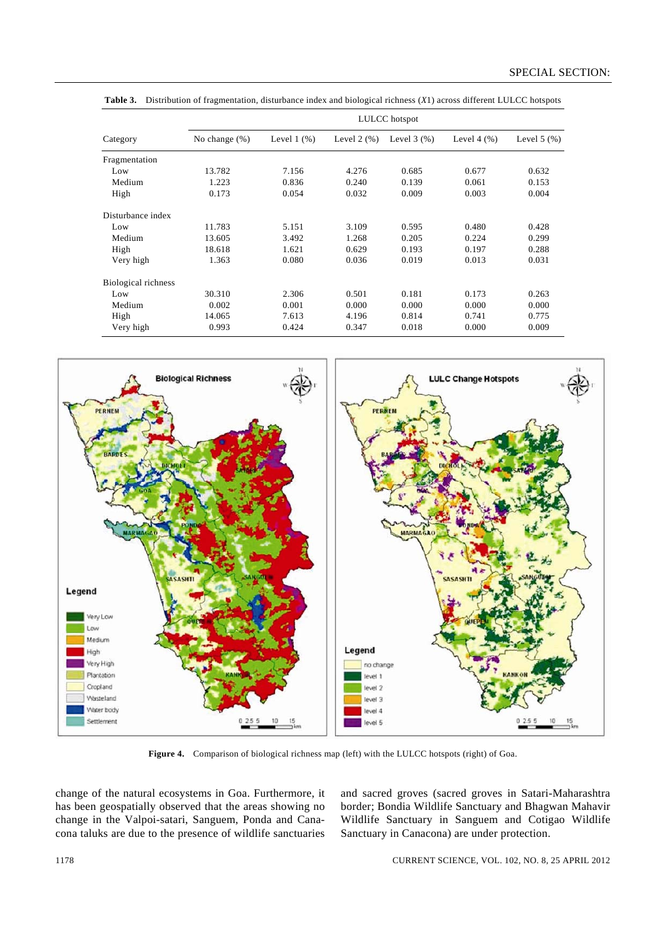|                     | LULCC hotspot    |                  |                  |                  |                  |                  |  |  |
|---------------------|------------------|------------------|------------------|------------------|------------------|------------------|--|--|
| Category            | No change $(\%)$ | Level $1$ $(\%)$ | Level $2$ $(\%)$ | Level $3$ $(\%)$ | Level $4$ $(\%)$ | Level $5$ $(\%)$ |  |  |
| Fragmentation       |                  |                  |                  |                  |                  |                  |  |  |
| Low                 | 13.782           | 7.156            | 4.276            | 0.685            | 0.677            | 0.632            |  |  |
| Medium              | 1.223            | 0.836            | 0.240            | 0.139            | 0.061            | 0.153            |  |  |
| High                | 0.173            | 0.054            | 0.032            | 0.009            | 0.003            | 0.004            |  |  |
| Disturbance index   |                  |                  |                  |                  |                  |                  |  |  |
| Low                 | 11.783           | 5.151            | 3.109            | 0.595            | 0.480            | 0.428            |  |  |
| Medium              | 13.605           | 3.492            | 1.268            | 0.205            | 0.224            | 0.299            |  |  |
| High                | 18.618           | 1.621            | 0.629            | 0.193            | 0.197            | 0.288            |  |  |
| Very high           | 1.363            | 0.080            | 0.036            | 0.019            | 0.013            | 0.031            |  |  |
| Biological richness |                  |                  |                  |                  |                  |                  |  |  |
| Low                 | 30.310           | 2.306            | 0.501            | 0.181            | 0.173            | 0.263            |  |  |
| Medium              | 0.002            | 0.001            | 0.000            | 0.000            | 0.000            | 0.000            |  |  |
| High                | 14.065           | 7.613            | 4.196            | 0.814            | 0.741            | 0.775            |  |  |
| Very high           | 0.993            | 0.424            | 0.347            | 0.018            | 0.000            | 0.009            |  |  |

**Table 3.** Distribution of fragmentation, disturbance index and biological richness (*X*1) across different LULCC hotspots



**Figure 4.** Comparison of biological richness map (left) with the LULCC hotspots (right) of Goa.

change of the natural ecosystems in Goa. Furthermore, it has been geospatially observed that the areas showing no change in the Valpoi-satari, Sanguem, Ponda and Canacona taluks are due to the presence of wildlife sanctuaries and sacred groves (sacred groves in Satari-Maharashtra border; Bondia Wildlife Sanctuary and Bhagwan Mahavir Wildlife Sanctuary in Sanguem and Cotigao Wildlife Sanctuary in Canacona) are under protection.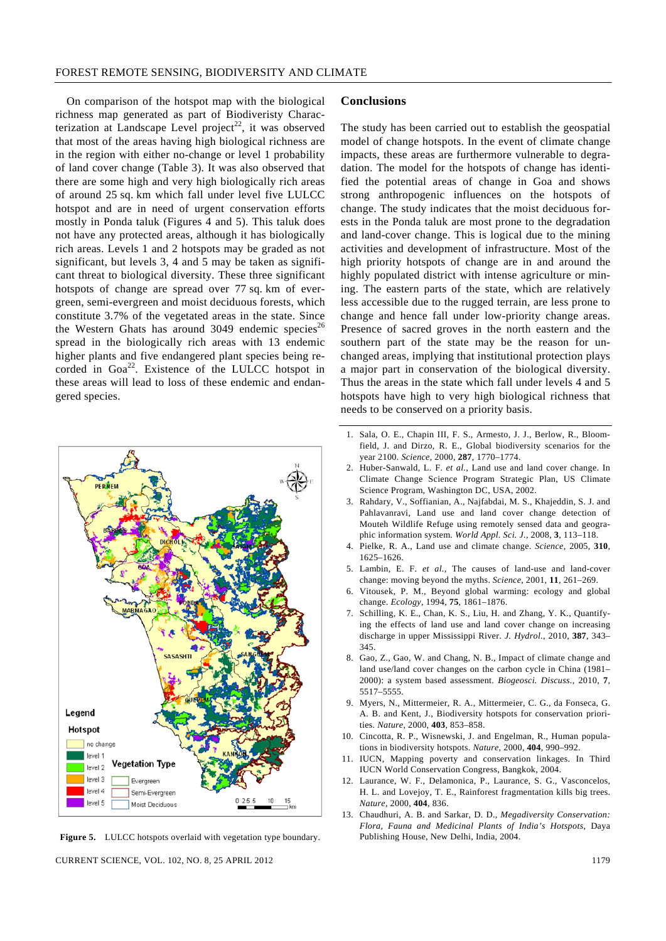On comparison of the hotspot map with the biological richness map generated as part of Biodiveristy Characterization at Landscape Level project<sup>22</sup>, it was observed that most of the areas having high biological richness are in the region with either no-change or level 1 probability of land cover change (Table 3). It was also observed that there are some high and very high biologically rich areas of around 25 sq. km which fall under level five LULCC hotspot and are in need of urgent conservation efforts mostly in Ponda taluk (Figures 4 and 5). This taluk does not have any protected areas, although it has biologically rich areas. Levels 1 and 2 hotspots may be graded as not significant, but levels 3, 4 and 5 may be taken as significant threat to biological diversity. These three significant hotspots of change are spread over 77 sq. km of evergreen, semi-evergreen and moist deciduous forests, which constitute 3.7% of the vegetated areas in the state. Since the Western Ghats has around 3049 endemic species<sup>26</sup> spread in the biologically rich areas with 13 endemic higher plants and five endangered plant species being recorded in Goa<sup>22</sup>. Existence of the LULCC hotspot in these areas will lead to loss of these endemic and endangered species.



**Figure 5.** LULCC hotspots overlaid with vegetation type boundary.

CURRENT SCIENCE, VOL. 102, NO. 8, 25 APRIL 2012 1179

#### **Conclusions**

The study has been carried out to establish the geospatial model of change hotspots. In the event of climate change impacts, these areas are furthermore vulnerable to degradation. The model for the hotspots of change has identified the potential areas of change in Goa and shows strong anthropogenic influences on the hotspots of change. The study indicates that the moist deciduous forests in the Ponda taluk are most prone to the degradation and land-cover change. This is logical due to the mining activities and development of infrastructure. Most of the high priority hotspots of change are in and around the highly populated district with intense agriculture or mining. The eastern parts of the state, which are relatively less accessible due to the rugged terrain, are less prone to change and hence fall under low-priority change areas. Presence of sacred groves in the north eastern and the southern part of the state may be the reason for unchanged areas, implying that institutional protection plays a major part in conservation of the biological diversity. Thus the areas in the state which fall under levels 4 and 5 hotspots have high to very high biological richness that needs to be conserved on a priority basis.

- 1. Sala, O. E., Chapin III, F. S., Armesto, J. J., Berlow, R., Bloomfield, J. and Dirzo, R. E., Global biodiversity scenarios for the year 2100. *Science*, 2000, **287**, 1770–1774.
- 2. Huber-Sanwald, L. F. *et al.*, Land use and land cover change. In Climate Change Science Program Strategic Plan, US Climate Science Program, Washington DC, USA, 2002.
- 3. Rahdary, V., Soffianian, A., Najfabdai, M. S., Khajeddin, S. J. and Pahlavanravi, Land use and land cover change detection of Mouteh Wildlife Refuge using remotely sensed data and geographic information system. *World Appl. Sci. J.*, 2008, **3**, 113–118.
- 4. Pielke, R. A., Land use and climate change. *Science*, 2005, **310**, 1625–1626.
- 5. Lambin, E. F. *et al.*, The causes of land-use and land-cover change: moving beyond the myths. *Science*, 2001, **11**, 261–269.
- 6. Vitousek, P. M., Beyond global warming: ecology and global change. *Ecology*, 1994, **75**, 1861–1876.
- 7. Schilling, K. E., Chan, K. S., Liu, H. and Zhang, Y. K., Quantifying the effects of land use and land cover change on increasing discharge in upper Mississippi River. *J. Hydrol.*, 2010, **387**, 343– 345.
- 8. Gao, Z., Gao, W. and Chang, N. B., Impact of climate change and land use/land cover changes on the carbon cycle in China (1981– 2000): a system based assessment. *Biogeosci. Discuss.*, 2010, **7**, 5517–5555.
- 9. Myers, N., Mittermeier, R. A., Mittermeier, C. G., da Fonseca, G. A. B. and Kent, J., Biodiversity hotspots for conservation priorities. *Nature*, 2000, **403**, 853–858.
- 10. Cincotta, R. P., Wisnewski, J. and Engelman, R., Human populations in biodiversity hotspots. *Nature*, 2000, **404**, 990–992.
- 11. IUCN, Mapping poverty and conservation linkages. In Third IUCN World Conservation Congress, Bangkok, 2004.
- 12. Laurance, W. F., Delamonica, P., Laurance, S. G., Vasconcelos, H. L. and Lovejoy, T. E., Rainforest fragmentation kills big trees. *Nature*, 2000, **404**, 836.
- 13. Chaudhuri, A. B. and Sarkar, D. D., *Megadiversity Conservation: Flora, Fauna and Medicinal Plants of India's Hotspots*, Daya Publishing House, New Delhi, India, 2004.